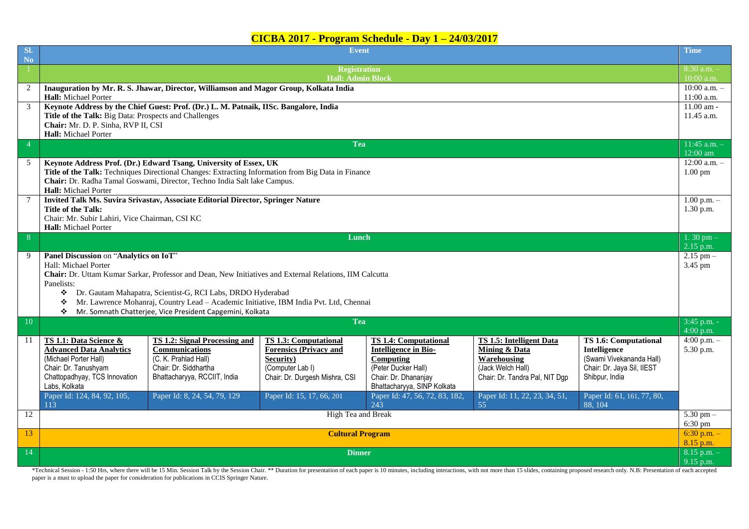## **CICBA 2017 - Program Schedule - Day 1 – 24/03/2017**

| SI.<br><b>No</b> | Event                                                                                                   |                                                                                  |                                |                                             |                                 |                              |                              |  |  |  |  |  |
|------------------|---------------------------------------------------------------------------------------------------------|----------------------------------------------------------------------------------|--------------------------------|---------------------------------------------|---------------------------------|------------------------------|------------------------------|--|--|--|--|--|
|                  | <b>Registration</b>                                                                                     |                                                                                  |                                |                                             |                                 |                              |                              |  |  |  |  |  |
|                  | <b>Hall: Admin Block</b>                                                                                |                                                                                  |                                |                                             |                                 |                              |                              |  |  |  |  |  |
| 2                | Inauguration by Mr. R. S. Jhawar, Director, Williamson and Magor Group, Kolkata India                   |                                                                                  |                                |                                             |                                 |                              |                              |  |  |  |  |  |
|                  | Hall: Michael Porter                                                                                    |                                                                                  |                                |                                             |                                 |                              |                              |  |  |  |  |  |
| 3                | Keynote Address by the Chief Guest: Prof. (Dr.) L. M. Patnaik, IISc. Bangalore, India                   |                                                                                  |                                |                                             |                                 |                              |                              |  |  |  |  |  |
|                  | Title of the Talk: Big Data: Prospects and Challenges                                                   |                                                                                  |                                |                                             |                                 |                              |                              |  |  |  |  |  |
|                  | Chair: Mr. D. P. Sinha, RVP II, CSI                                                                     |                                                                                  |                                |                                             |                                 |                              |                              |  |  |  |  |  |
|                  | Hall: Michael Porter<br>$11:45$ a.m. $-$                                                                |                                                                                  |                                |                                             |                                 |                              |                              |  |  |  |  |  |
| $\overline{4}$   | Tea                                                                                                     |                                                                                  |                                |                                             |                                 |                              |                              |  |  |  |  |  |
| 5                | Keynote Address Prof. (Dr.) Edward Tsang, University of Essex, UK                                       |                                                                                  |                                |                                             |                                 |                              |                              |  |  |  |  |  |
|                  | Title of the Talk: Techniques Directional Changes: Extracting Information from Big Data in Finance      |                                                                                  |                                |                                             |                                 |                              |                              |  |  |  |  |  |
|                  | Chair: Dr. Radha Tamal Goswami, Director, Techno India Salt lake Campus.                                |                                                                                  |                                |                                             |                                 |                              |                              |  |  |  |  |  |
|                  | Hall: Michael Porter                                                                                    |                                                                                  |                                |                                             |                                 |                              |                              |  |  |  |  |  |
| $7\phantom{.0}$  |                                                                                                         | Invited Talk Ms. Suvira Srivastav, Associate Editorial Director, Springer Nature |                                |                                             |                                 |                              | $1.00$ p.m. $-$              |  |  |  |  |  |
|                  | <b>Title of the Talk:</b>                                                                               |                                                                                  |                                |                                             |                                 |                              | $1.30$ p.m.                  |  |  |  |  |  |
|                  | Chair: Mr. Subir Lahiri, Vice Chairman, CSI KC                                                          |                                                                                  |                                |                                             |                                 |                              |                              |  |  |  |  |  |
|                  | Hall: Michael Porter                                                                                    |                                                                                  |                                |                                             |                                 |                              | 1.30 pm $-$                  |  |  |  |  |  |
| 8                | Lunch                                                                                                   |                                                                                  |                                |                                             |                                 |                              |                              |  |  |  |  |  |
| 9                | Panel Discussion on "Analytics on IoT"                                                                  |                                                                                  |                                |                                             |                                 |                              | $2.15$ p.m.<br>$2.15$ pm $-$ |  |  |  |  |  |
|                  | Hall: Michael Porter                                                                                    |                                                                                  |                                |                                             |                                 |                              | 3.45 pm                      |  |  |  |  |  |
|                  | Chair: Dr. Uttam Kumar Sarkar, Professor and Dean, New Initiatives and External Relations, IIM Calcutta |                                                                                  |                                |                                             |                                 |                              |                              |  |  |  |  |  |
|                  | Panelists:                                                                                              |                                                                                  |                                |                                             |                                 |                              |                              |  |  |  |  |  |
|                  | Dr. Gautam Mahapatra, Scientist-G, RCI Labs, DRDO Hyderabad<br>❖                                        |                                                                                  |                                |                                             |                                 |                              |                              |  |  |  |  |  |
|                  | Mr. Lawrence Mohanraj, Country Lead - Academic Initiative, IBM India Pvt. Ltd, Chennai<br>❖             |                                                                                  |                                |                                             |                                 |                              |                              |  |  |  |  |  |
|                  | ❖                                                                                                       | Mr. Somnath Chatterjee, Vice President Capgemini, Kolkata                        |                                |                                             |                                 |                              |                              |  |  |  |  |  |
| <b>Tea</b><br>10 |                                                                                                         |                                                                                  |                                |                                             |                                 |                              | $3:45$ p.m. -                |  |  |  |  |  |
|                  |                                                                                                         |                                                                                  |                                |                                             |                                 |                              | $4:00$ p.m.                  |  |  |  |  |  |
| 11               | TS 1.1: Data Science &                                                                                  | TS 1.2: Signal Processing and                                                    | <b>TS 1.3: Computational</b>   | <b>TS 1.4: Computational</b>                | <b>TS 1.5: Intelligent Data</b> | <b>TS 1.6: Computational</b> | $4:00 p.m. -$                |  |  |  |  |  |
|                  | <b>Advanced Data Analytics</b>                                                                          | Communications                                                                   | <b>Forensics (Privacy and</b>  | <b>Intelligence in Bio-</b>                 | <b>Mining &amp; Data</b>        | Intelligence                 | 5.30 p.m.                    |  |  |  |  |  |
|                  | (Michael Porter Hall)                                                                                   | (C. K. Prahlad Hall)                                                             | Security)                      | Computing                                   | Warehousing                     | (Swami Vivekananda Hall)     |                              |  |  |  |  |  |
|                  | Chair: Dr. Tanushyam                                                                                    | Chair: Dr. Siddhartha                                                            | (Computer Lab I)               | (Peter Ducker Hall)<br>Chair: Dr. Dhananjay | (Jack Welch Hall)               | Chair: Dr. Jaya Sil, IIEST   |                              |  |  |  |  |  |
|                  | Chattopadhyay, TCS Innovation<br>Labs, Kolkata                                                          | Bhattacharyya, RCCIIT, India                                                     | Chair: Dr. Durgesh Mishra, CSI | Bhattacharyya, SINP Kolkata                 | Chair: Dr. Tandra Pal, NIT Dgp  | Shibpur, India               |                              |  |  |  |  |  |
|                  | Paper Id: 124, 84, 92, 105,                                                                             | Paper Id: 8, 24, 54, 79, 129                                                     | Paper Id: 15, 17, 66, 201      | Paper Id: 47, 56, 72, 83, 182,              | Paper Id: 11, 22, 23, 34, 51,   | Paper Id: 61, 161, 77, 80,   |                              |  |  |  |  |  |
|                  | 113                                                                                                     |                                                                                  |                                | $24\overline{3}$                            | 55                              | 88, 104                      | $5.30 \text{ pm} -$          |  |  |  |  |  |
| 12               | High Tea and Break                                                                                      |                                                                                  |                                |                                             |                                 |                              |                              |  |  |  |  |  |
| 13               | <b>Cultural Program</b>                                                                                 |                                                                                  |                                |                                             |                                 |                              |                              |  |  |  |  |  |
|                  |                                                                                                         |                                                                                  |                                |                                             |                                 |                              |                              |  |  |  |  |  |
| 14               | <b>Dinner</b>                                                                                           |                                                                                  |                                |                                             |                                 |                              |                              |  |  |  |  |  |
|                  |                                                                                                         |                                                                                  |                                |                                             |                                 |                              |                              |  |  |  |  |  |

\*Technical Session - 1:50 Hrs, where there will be 15 Min. Session Talk by the Session Chair. \*\* Duration for presentation of each paper is 10 minutes, including interactions, with not more than 15 slides, containing propo paper is a must to upload the paper for consideration for publications in CCIS Springer Nature.